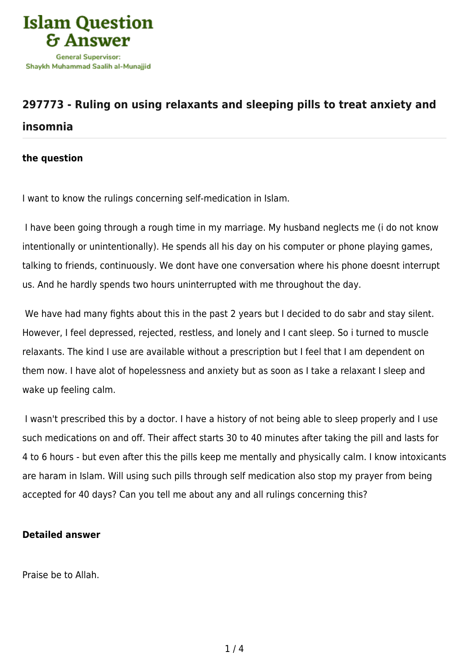

## **[297773 - Ruling on using relaxants and sleeping pills to treat anxiety and](https://islamqa.ws/en/answers/297773/ruling-on-using-relaxants-and-sleeping-pills-to-treat-anxiety-and-insomnia) [insomnia](https://islamqa.ws/en/answers/297773/ruling-on-using-relaxants-and-sleeping-pills-to-treat-anxiety-and-insomnia)**

## **the question**

I want to know the rulings concerning self-medication in Islam.

I have been going through a rough time in my marriage. My husband neglects me (i do not know intentionally or unintentionally). He spends all his day on his computer or phone playing games, talking to friends, continuously. We dont have one conversation where his phone doesnt interrupt us. And he hardly spends two hours uninterrupted with me throughout the day.

We have had many fights about this in the past 2 years but I decided to do sabr and stay silent. However, I feel depressed, rejected, restless, and lonely and I cant sleep. So i turned to muscle relaxants. The kind I use are available without a prescription but I feel that I am dependent on them now. I have alot of hopelessness and anxiety but as soon as I take a relaxant I sleep and wake up feeling calm.

I wasn't prescribed this by a doctor. I have a history of not being able to sleep properly and I use such medications on and off. Their affect starts 30 to 40 minutes after taking the pill and lasts for 4 to 6 hours - but even after this the pills keep me mentally and physically calm. I know intoxicants are haram in Islam. Will using such pills through self medication also stop my prayer from being accepted for 40 days? Can you tell me about any and all rulings concerning this?

## **Detailed answer**

Praise be to Allah.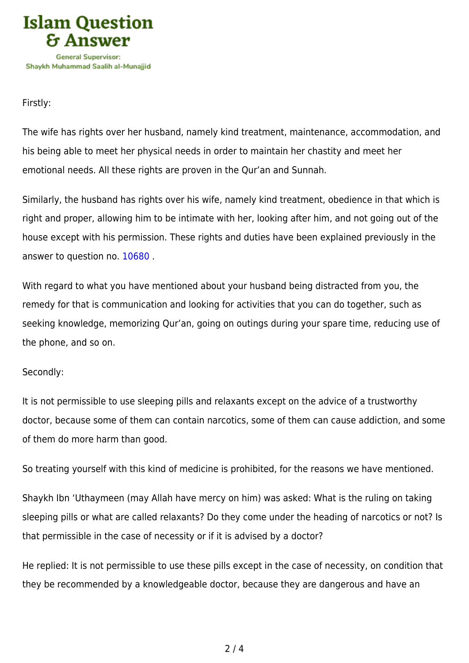

Firstly:

The wife has rights over her husband, namely kind treatment, maintenance, accommodation, and his being able to meet her physical needs in order to maintain her chastity and meet her emotional needs. All these rights are proven in the Qur'an and Sunnah.

Similarly, the husband has rights over his wife, namely kind treatment, obedience in that which is right and proper, allowing him to be intimate with her, looking after him, and not going out of the house except with his permission. These rights and duties have been explained previously in the answer to question no. [10680](https://islamqa.ws/en/answers/10680) .

With regard to what you have mentioned about your husband being distracted from you, the remedy for that is communication and looking for activities that you can do together, such as seeking knowledge, memorizing Qur'an, going on outings during your spare time, reducing use of the phone, and so on.

## Secondly:

It is not permissible to use sleeping pills and relaxants except on the advice of a trustworthy doctor, because some of them can contain narcotics, some of them can cause addiction, and some of them do more harm than good.

So treating yourself with this kind of medicine is prohibited, for the reasons we have mentioned.

Shaykh Ibn 'Uthaymeen (may Allah have mercy on him) was asked: What is the ruling on taking sleeping pills or what are called relaxants? Do they come under the heading of narcotics or not? Is that permissible in the case of necessity or if it is advised by a doctor?

He replied: It is not permissible to use these pills except in the case of necessity, on condition that they be recommended by a knowledgeable doctor, because they are dangerous and have an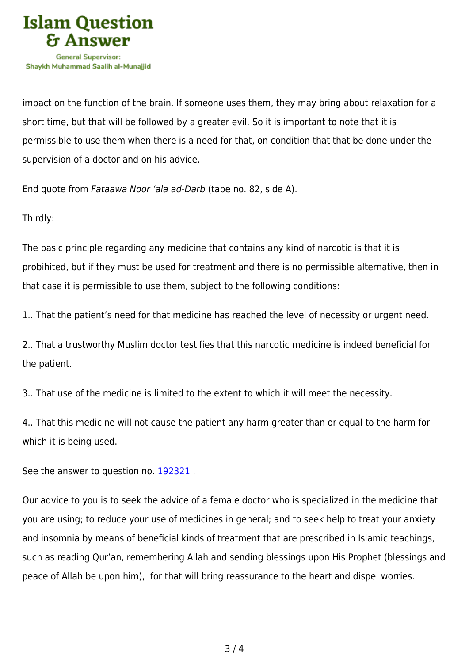

impact on the function of the brain. If someone uses them, they may bring about relaxation for a short time, but that will be followed by a greater evil. So it is important to note that it is permissible to use them when there is a need for that, on condition that that be done under the supervision of a doctor and on his advice.

End quote from Fataawa Noor 'ala ad-Darb (tape no. 82, side A).

Thirdly:

The basic principle regarding any medicine that contains any kind of narcotic is that it is probihited, but if they must be used for treatment and there is no permissible alternative, then in that case it is permissible to use them, subject to the following conditions:

1.. That the patient's need for that medicine has reached the level of necessity or urgent need.

2.. That a trustworthy Muslim doctor testifies that this narcotic medicine is indeed beneficial for the patient.

3.. That use of the medicine is limited to the extent to which it will meet the necessity.

4.. That this medicine will not cause the patient any harm greater than or equal to the harm for which it is being used.

See the answer to question no. [192321](https://islamqa.ws/en/answers/192321).

Our advice to you is to seek the advice of a female doctor who is specialized in the medicine that you are using; to reduce your use of medicines in general; and to seek help to treat your anxiety and insomnia by means of beneficial kinds of treatment that are prescribed in Islamic teachings, such as reading Qur'an, remembering Allah and sending blessings upon His Prophet (blessings and peace of Allah be upon him), for that will bring reassurance to the heart and dispel worries.